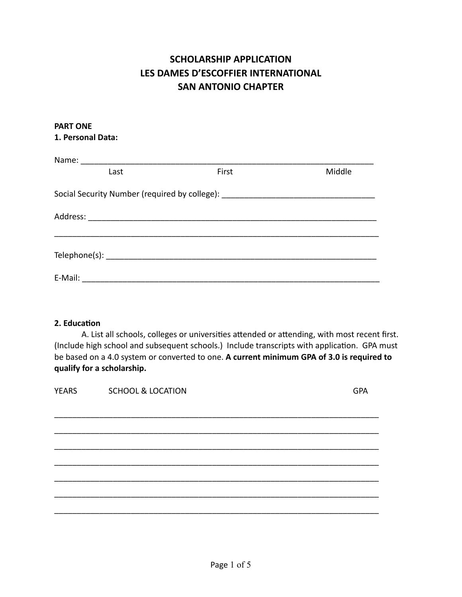# **SCHOLARSHIP APPLICATION LES DAMES D'ESCOFFIER INTERNATIONAL SAN ANTONIO CHAPTER**

#### **PART ONE 1. Personal Data:**

| Name: |      |                                                                                  |        |
|-------|------|----------------------------------------------------------------------------------|--------|
|       | Last | First                                                                            | Middle |
|       |      | Social Security Number (required by college): __________________________________ |        |
|       |      |                                                                                  |        |
|       |      |                                                                                  |        |
|       |      |                                                                                  |        |
|       |      |                                                                                  |        |

### **2. Education**

A. List all schools, colleges or universities attended or attending, with most recent first. (Include high school and subsequent schools.) Include transcripts with application. GPA must be based on a 4.0 system or converted to one. **A current minimum GPA of 3.0 is required to qualify for a scholarship.** 

| <b>YEARS</b> | <b>SCHOOL &amp; LOCATION</b> | <b>GPA</b> |
|--------------|------------------------------|------------|
|              |                              |            |
|              |                              |            |
|              |                              |            |
|              |                              |            |
|              |                              |            |
|              |                              |            |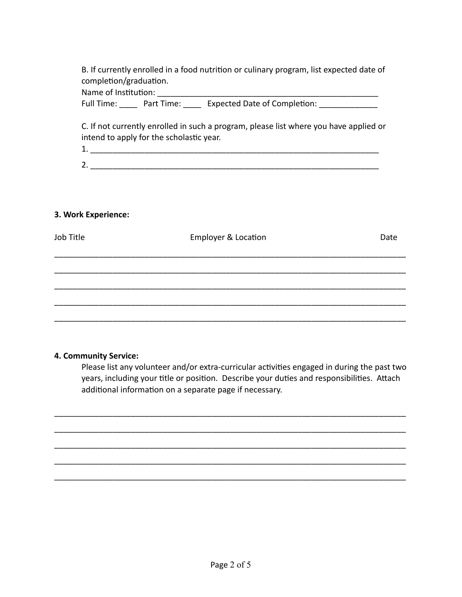B. If currently enrolled in a food nutrition or culinary program, list expected date of completion/graduation.

Name of Institution:

Full Time: Part Time: Expected Date of Completion:

C. If not currently enrolled in such a program, please list where you have applied or intend to apply for the scholastic year.

 $1.$ 2.

#### **3. Work Experience:**

| Job Title | Employer & Location | Date |
|-----------|---------------------|------|
|           |                     |      |
|           |                     |      |
|           |                     |      |
|           |                     |      |

#### **4. Community Service:**

Please list any volunteer and/or extra-curricular activities engaged in during the past two years, including your title or position. Describe your duties and responsibilities. Attach additional information on a separate page if necessary.

\_\_\_\_\_\_\_\_\_\_\_\_\_\_\_\_\_\_\_\_\_\_\_\_\_\_\_\_\_\_\_\_\_\_\_\_\_\_\_\_\_\_\_\_\_\_\_\_\_\_\_\_\_\_\_\_\_\_\_\_\_\_\_\_\_\_\_\_\_\_\_\_\_\_\_\_\_\_

\_\_\_\_\_\_\_\_\_\_\_\_\_\_\_\_\_\_\_\_\_\_\_\_\_\_\_\_\_\_\_\_\_\_\_\_\_\_\_\_\_\_\_\_\_\_\_\_\_\_\_\_\_\_\_\_\_\_\_\_\_\_\_\_\_\_\_\_\_\_\_\_\_\_\_\_\_\_

\_\_\_\_\_\_\_\_\_\_\_\_\_\_\_\_\_\_\_\_\_\_\_\_\_\_\_\_\_\_\_\_\_\_\_\_\_\_\_\_\_\_\_\_\_\_\_\_\_\_\_\_\_\_\_\_\_\_\_\_\_\_\_\_\_\_\_\_\_\_\_\_\_\_\_\_\_\_

\_\_\_\_\_\_\_\_\_\_\_\_\_\_\_\_\_\_\_\_\_\_\_\_\_\_\_\_\_\_\_\_\_\_\_\_\_\_\_\_\_\_\_\_\_\_\_\_\_\_\_\_\_\_\_\_\_\_\_\_\_\_\_\_\_\_\_\_\_\_\_\_\_\_\_\_\_\_

\_\_\_\_\_\_\_\_\_\_\_\_\_\_\_\_\_\_\_\_\_\_\_\_\_\_\_\_\_\_\_\_\_\_\_\_\_\_\_\_\_\_\_\_\_\_\_\_\_\_\_\_\_\_\_\_\_\_\_\_\_\_\_\_\_\_\_\_\_\_\_\_\_\_\_\_\_\_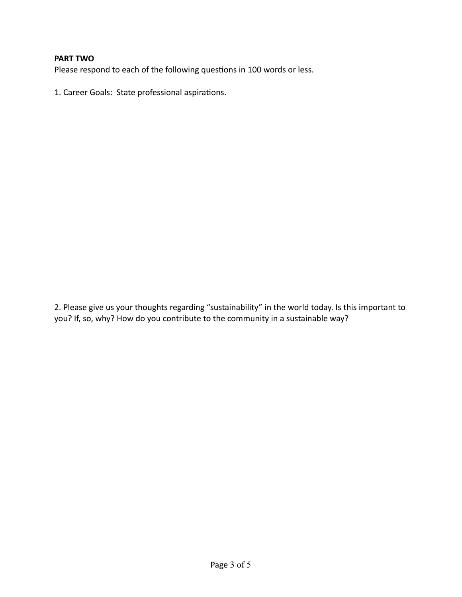#### **PART TWO**

Please respond to each of the following questions in 100 words or less.

1. Career Goals: State professional aspirations.

2. Please give us your thoughts regarding "sustainability" in the world today. Is this important to you? If, so, why? How do you contribute to the community in a sustainable way?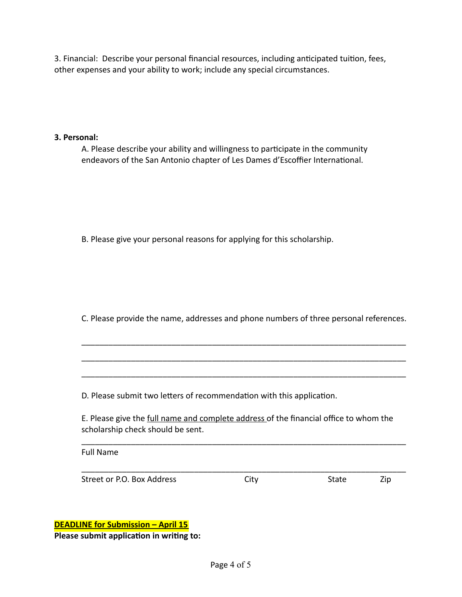3. Financial: Describe your personal financial resources, including anticipated tuition, fees, other expenses and your ability to work; include any special circumstances.

#### **3. Personal:**

A. Please describe your ability and willingness to participate in the community endeavors of the San Antonio chapter of Les Dames d'Escoffier International.

B. Please give your personal reasons for applying for this scholarship.

C. Please provide the name, addresses and phone numbers of three personal references.

\_\_\_\_\_\_\_\_\_\_\_\_\_\_\_\_\_\_\_\_\_\_\_\_\_\_\_\_\_\_\_\_\_\_\_\_\_\_\_\_\_\_\_\_\_\_\_\_\_\_\_\_\_\_\_\_\_\_\_\_\_\_\_\_\_\_\_\_\_\_\_\_

\_\_\_\_\_\_\_\_\_\_\_\_\_\_\_\_\_\_\_\_\_\_\_\_\_\_\_\_\_\_\_\_\_\_\_\_\_\_\_\_\_\_\_\_\_\_\_\_\_\_\_\_\_\_\_\_\_\_\_\_\_\_\_\_\_\_\_\_\_\_\_\_

\_\_\_\_\_\_\_\_\_\_\_\_\_\_\_\_\_\_\_\_\_\_\_\_\_\_\_\_\_\_\_\_\_\_\_\_\_\_\_\_\_\_\_\_\_\_\_\_\_\_\_\_\_\_\_\_\_\_\_\_\_\_\_\_\_\_\_\_\_\_\_\_

D. Please submit two letters of recommendation with this application.

E. Please give the full name and complete address of the financial office to whom the scholarship check should be sent.

\_\_\_\_\_\_\_\_\_\_\_\_\_\_\_\_\_\_\_\_\_\_\_\_\_\_\_\_\_\_\_\_\_\_\_\_\_\_\_\_\_\_\_\_\_\_\_\_\_\_\_\_\_\_\_\_\_\_\_\_\_\_\_\_\_\_\_\_\_\_\_\_

\_\_\_\_\_\_\_\_\_\_\_\_\_\_\_\_\_\_\_\_\_\_\_\_\_\_\_\_\_\_\_\_\_\_\_\_\_\_\_\_\_\_\_\_\_\_\_\_\_\_\_\_\_\_\_\_\_\_\_\_\_\_\_\_\_\_\_\_\_\_\_\_

Full Name

Street or P.O. Box Address City City State Zip

**DEADLINE for Submission – April 15** 

**Please submit application in writing to:**